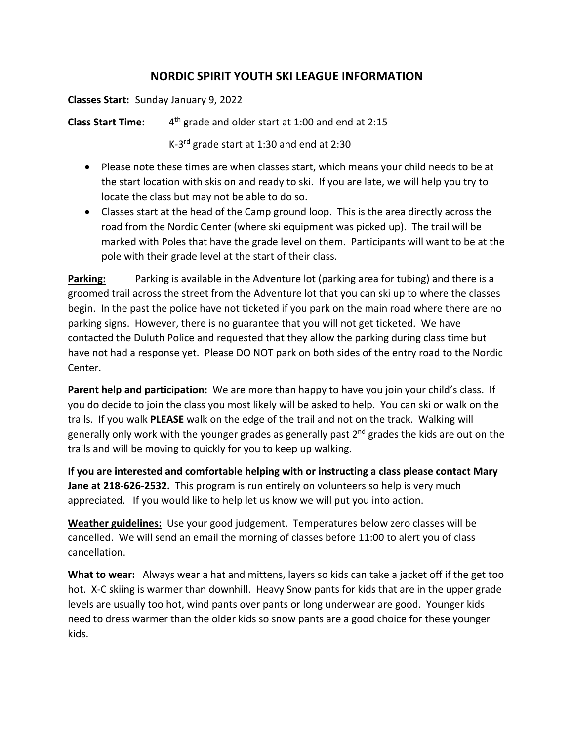## **NORDIC SPIRIT YOUTH SKI LEAGUE INFORMATION**

## **Classes Start:** Sunday January 9, 2022

**Class Start Time:** 4<sup>th</sup> grade and older start at 1:00 and end at 2:15

K-3rd grade start at 1:30 and end at 2:30

- Please note these times are when classes start, which means your child needs to be at the start location with skis on and ready to ski. If you are late, we will help you try to locate the class but may not be able to do so.
- Classes start at the head of the Camp ground loop. This is the area directly across the road from the Nordic Center (where ski equipment was picked up). The trail will be marked with Poles that have the grade level on them. Participants will want to be at the pole with their grade level at the start of their class.

**Parking:** Parking is available in the Adventure lot (parking area for tubing) and there is a groomed trail across the street from the Adventure lot that you can ski up to where the classes begin. In the past the police have not ticketed if you park on the main road where there are no parking signs. However, there is no guarantee that you will not get ticketed. We have contacted the Duluth Police and requested that they allow the parking during class time but have not had a response yet. Please DO NOT park on both sides of the entry road to the Nordic Center.

**Parent help and participation:** We are more than happy to have you join your child's class. If you do decide to join the class you most likely will be asked to help. You can ski or walk on the trails. If you walk **PLEASE** walk on the edge of the trail and not on the track. Walking will generally only work with the younger grades as generally past  $2<sup>nd</sup>$  grades the kids are out on the trails and will be moving to quickly for you to keep up walking.

**If you are interested and comfortable helping with or instructing a class please contact Mary Jane at 218-626-2532.** This program is run entirely on volunteers so help is very much appreciated. If you would like to help let us know we will put you into action.

**Weather guidelines:** Use your good judgement. Temperatures below zero classes will be cancelled. We will send an email the morning of classes before 11:00 to alert you of class cancellation.

**What to wear:** Always wear a hat and mittens, layers so kids can take a jacket off if the get too hot. X-C skiing is warmer than downhill. Heavy Snow pants for kids that are in the upper grade levels are usually too hot, wind pants over pants or long underwear are good. Younger kids need to dress warmer than the older kids so snow pants are a good choice for these younger kids.